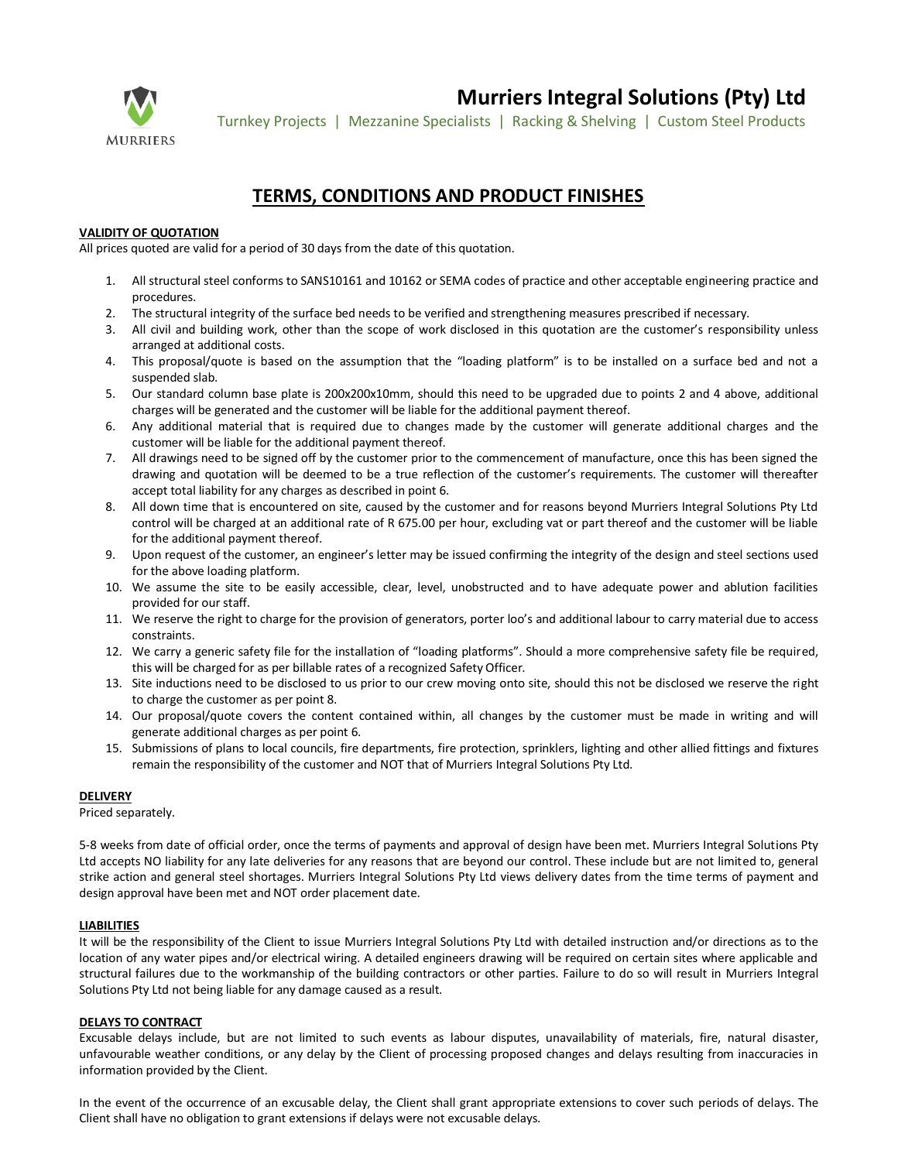

**Murriers Integral Solutions (Pty) Ltd**

Turnkey Projects | Mezzanine Specialists | Racking & Shelving | Custom Steel Products

# **TERMS, CONDITIONS AND PRODUCT FINISHES**

# **VALIDITY OF QUOTATION**

All prices quoted are valid for a period of 30 days from the date of this quotation.

- 1. All structural steel conforms to SANS10161 and 10162 or SEMA codes of practice and other acceptable engineering practice and procedures.
- 2. The structural integrity of the surface bed needs to be verified and strengthening measures prescribed if necessary.
- 3. All civil and building work, other than the scope of work disclosed in this quotation are the customer's responsibility unless arranged at additional costs.
- 4. This proposal/quote is based on the assumption that the "loading platform" is to be installed on a surface bed and not a suspended slab.
- 5. Our standard column base plate is 200x200x10mm, should this need to be upgraded due to points 2 and 4 above, additional charges will be generated and the customer will be liable for the additional payment thereof.
- 6. Any additional material that is required due to changes made by the customer will generate additional charges and the customer will be liable for the additional payment thereof.
- 7. All drawings need to be signed off by the customer prior to the commencement of manufacture, once this has been signed the drawing and quotation will be deemed to be a true reflection of the customer's requirements. The customer will thereafter accept total liability for any charges as described in point 6.
- 8. All down time that is encountered on site, caused by the customer and for reasons beyond Murriers Integral Solutions Pty Ltd control will be charged at an additional rate of R 675.00 per hour, excluding vat or part thereof and the customer will be liable for the additional payment thereof.
- 9. Upon request of the customer, an engineer's letter may be issued confirming the integrity of the design and steel sections used for the above loading platform.
- 10. We assume the site to be easily accessible, clear, level, unobstructed and to have adequate power and ablution facilities provided for our staff.
- 11. We reserve the right to charge for the provision of generators, porter loo's and additional labour to carry material due to access constraints.
- 12. We carry a generic safety file for the installation of "loading platforms". Should a more comprehensive safety file be required, this will be charged for as per billable rates of a recognized Safety Officer.
- 13. Site inductions need to be disclosed to us prior to our crew moving onto site, should this not be disclosed we reserve the right to charge the customer as per point 8.
- 14. Our proposal/quote covers the content contained within, all changes by the customer must be made in writing and will generate additional charges as per point 6.
- 15. Submissions of plans to local councils, fire departments, fire protection, sprinklers, lighting and other allied fittings and fixtures remain the responsibility of the customer and NOT that of Murriers Integral Solutions Pty Ltd.

## **DELIVERY**

Priced separately.

5-8 weeks from date of official order, once the terms of payments and approval of design have been met. Murriers Integral Solutions Pty Ltd accepts NO liability for any late deliveries for any reasons that are beyond our control. These include but are not limited to, general strike action and general steel shortages. Murriers Integral Solutions Pty Ltd views delivery dates from the time terms of payment and design approval have been met and NOT order placement date.

# **LIABILITIES**

It will be the responsibility of the Client to issue Murriers Integral Solutions Pty Ltd with detailed instruction and/or directions as to the location of any water pipes and/or electrical wiring. A detailed engineers drawing will be required on certain sites where applicable and structural failures due to the workmanship of the building contractors or other parties. Failure to do so will result in Murriers Integral Solutions Pty Ltd not being liable for any damage caused as a result.

# **DELAYS TO CONTRACT**

Excusable delays include, but are not limited to such events as labour disputes, unavailability of materials, fire, natural disaster, unfavourable weather conditions, or any delay by the Client of processing proposed changes and delays resulting from inaccuracies in information provided by the Client.

In the event of the occurrence of an excusable delay, the Client shall grant appropriate extensions to cover such periods of delays. The Client shall have no obligation to grant extensions if delays were not excusable delays.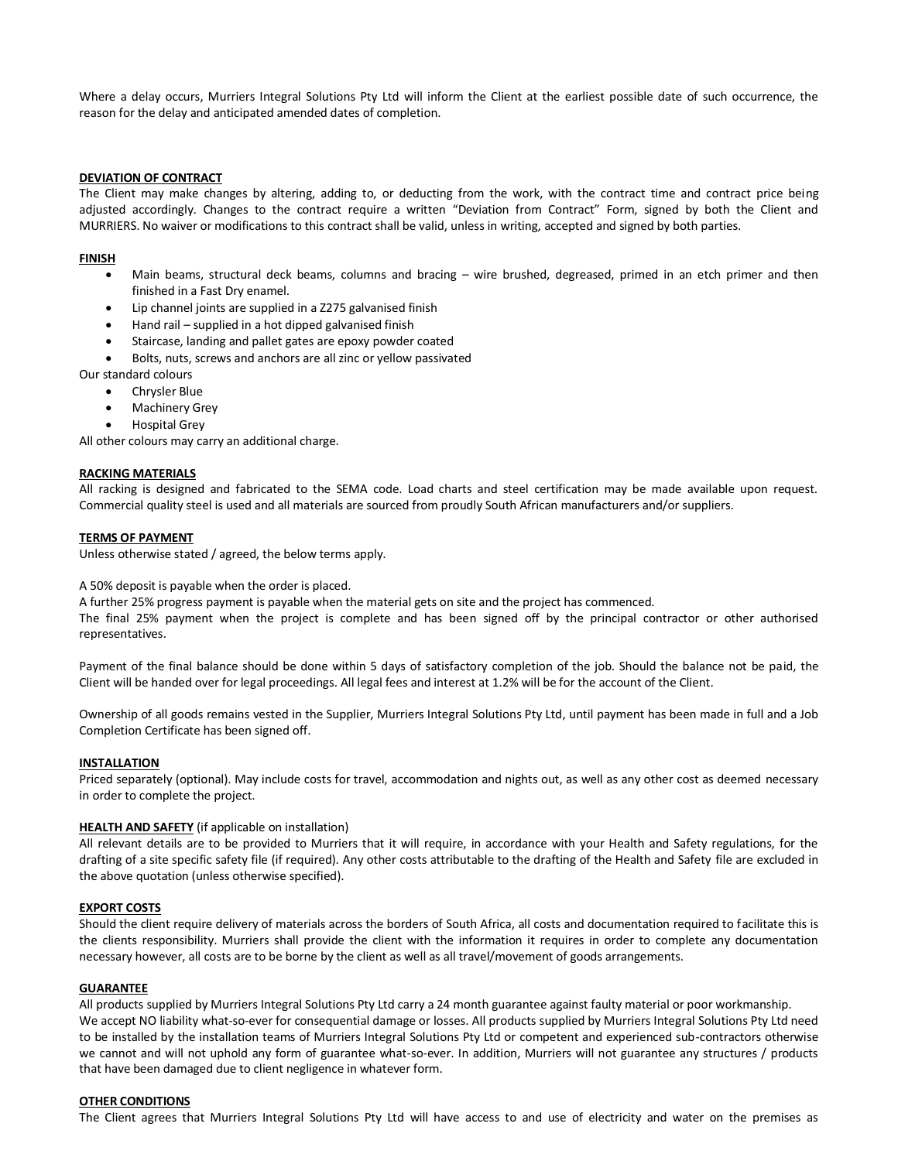Where a delay occurs, Murriers Integral Solutions Pty Ltd will inform the Client at the earliest possible date of such occurrence, the reason for the delay and anticipated amended dates of completion.

## **DEVIATION OF CONTRACT**

The Client may make changes by altering, adding to, or deducting from the work, with the contract time and contract price being adjusted accordingly. Changes to the contract require a written "Deviation from Contract" Form, signed by both the Client and MURRIERS. No waiver or modifications to this contract shall be valid, unless in writing, accepted and signed by both parties.

### **FINISH**

- Main beams, structural deck beams, columns and bracing wire brushed, degreased, primed in an etch primer and then finished in a Fast Dry enamel.
- Lip channel joints are supplied in a Z275 galvanised finish
- Hand rail supplied in a hot dipped galvanised finish
- Staircase, landing and pallet gates are epoxy powder coated
- Bolts, nuts, screws and anchors are all zinc or yellow passivated

Our standard colours

- Chrysler Blue
- **Machinery Grey**
- Hospital Grey

All other colours may carry an additional charge.

#### **RACKING MATERIALS**

All racking is designed and fabricated to the SEMA code. Load charts and steel certification may be made available upon request. Commercial quality steel is used and all materials are sourced from proudly South African manufacturers and/or suppliers.

#### **TERMS OF PAYMENT**

Unless otherwise stated / agreed, the below terms apply.

#### A 50% deposit is payable when the order is placed.

A further 25% progress payment is payable when the material gets on site and the project has commenced.

The final 25% payment when the project is complete and has been signed off by the principal contractor or other authorised representatives.

Payment of the final balance should be done within 5 days of satisfactory completion of the job. Should the balance not be paid, the Client will be handed over for legal proceedings. All legal fees and interest at 1.2% will be for the account of the Client.

Ownership of all goods remains vested in the Supplier, Murriers Integral Solutions Pty Ltd, until payment has been made in full and a Job Completion Certificate has been signed off.

## **INSTALLATION**

Priced separately (optional). May include costs for travel, accommodation and nights out, as well as any other cost as deemed necessary in order to complete the project.

#### **HEALTH AND SAFETY** (if applicable on installation)

All relevant details are to be provided to Murriers that it will require, in accordance with your Health and Safety regulations, for the drafting of a site specific safety file (if required). Any other costs attributable to the drafting of the Health and Safety file are excluded in the above quotation (unless otherwise specified).

#### **EXPORT COSTS**

Should the client require delivery of materials across the borders of South Africa, all costs and documentation required to facilitate this is the clients responsibility. Murriers shall provide the client with the information it requires in order to complete any documentation necessary however, all costs are to be borne by the client as well as all travel/movement of goods arrangements.

### **GUARANTEE**

All products supplied by Murriers Integral Solutions Pty Ltd carry a 24 month guarantee against faulty material or poor workmanship. We accept NO liability what-so-ever for consequential damage or losses. All products supplied by Murriers Integral Solutions Pty Ltd need to be installed by the installation teams of Murriers Integral Solutions Pty Ltd or competent and experienced sub-contractors otherwise we cannot and will not uphold any form of guarantee what-so-ever. In addition, Murriers will not guarantee any structures / products that have been damaged due to client negligence in whatever form.

#### **OTHER CONDITIONS**

The Client agrees that Murriers Integral Solutions Pty Ltd will have access to and use of electricity and water on the premises as